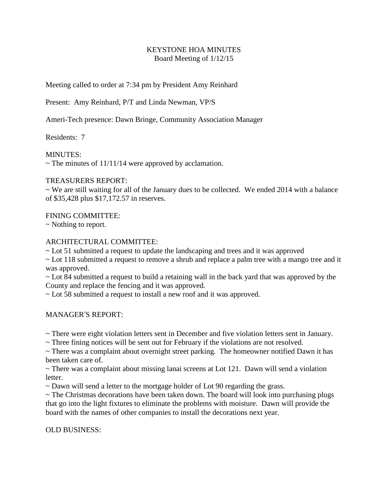# KEYSTONE HOA MINUTES Board Meeting of 1/12/15

Meeting called to order at 7:34 pm by President Amy Reinhard

Present: Amy Reinhard, P/T and Linda Newman, VP/S

Ameri-Tech presence: Dawn Bringe, Community Association Manager

Residents: 7

MINUTES:

 $\sim$  The minutes of 11/11/14 were approved by acclamation.

## TREASURERS REPORT:

 $\sim$  We are still waiting for all of the January dues to be collected. We ended 2014 with a balance of \$35,428 plus \$17,172.57 in reserves.

## FINING COMMITTEE:

~ Nothing to report.

## ARCHITECTURAL COMMITTEE:

~ Lot 51 submitted a request to update the landscaping and trees and it was approved

~ Lot 118 submitted a request to remove a shrub and replace a palm tree with a mango tree and it was approved.

~ Lot 84 submitted a request to build a retaining wall in the back yard that was approved by the County and replace the fencing and it was approved.

~ Lot 58 submitted a request to install a new roof and it was approved.

MANAGER'S REPORT:

~ There were eight violation letters sent in December and five violation letters sent in January.

~ Three fining notices will be sent out for February if the violations are not resolved.

~ There was a complaint about overnight street parking. The homeowner notified Dawn it has been taken care of.

~ There was a complaint about missing lanai screens at Lot 121. Dawn will send a violation letter.

~ Dawn will send a letter to the mortgage holder of Lot 90 regarding the grass.

 $\sim$  The Christmas decorations have been taken down. The board will look into purchasing plugs that go into the light fixtures to eliminate the problems with moisture. Dawn will provide the board with the names of other companies to install the decorations next year.

## OLD BUSINESS: